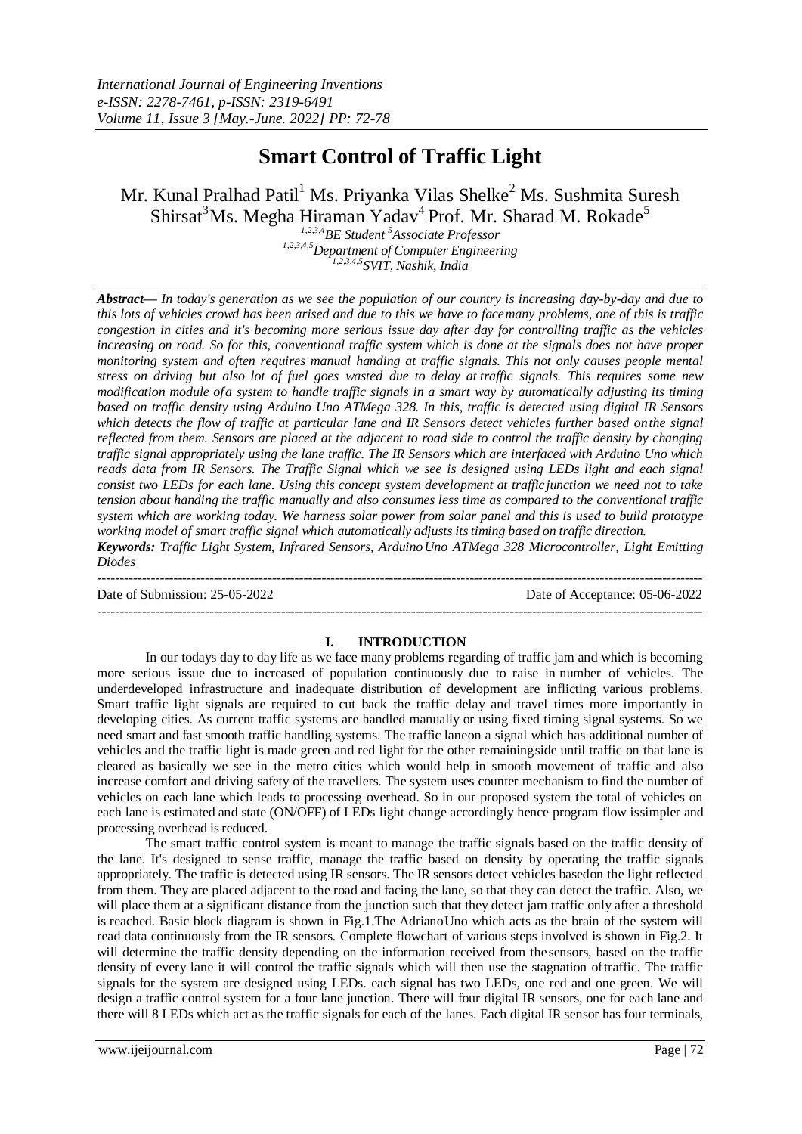# **Smart Control of Traffic Light**

Mr. Kunal Pralhad Patil<sup>1</sup> Ms. Priyanka Vilas Shelke<sup>2</sup> Ms. Sushmita Suresh Shirsat ${}^{3}$ Ms. Megha Hiraman Yadav ${}^{4}$  Prof. Mr. Sharad M. Rokade ${}^{5}$ 

*1,2,3,4BE Student <sup>5</sup>Associate Professor 1,2,3,4,5Department of Computer Engineering 1,2,3,4,5SVIT, Nashik, India*

*Abstract— In today's generation as we see the population of our country is increasing day-by-day and due to this lots of vehicles crowd has been arised and due to this we have to facemany problems, one of this is traffic congestion in cities and it's becoming more serious issue day after day for controlling traffic as the vehicles increasing on road. So for this, conventional traffic system which is done at the signals does not have proper monitoring system and often requires manual handing at traffic signals. This not only causes people mental* stress on driving but also lot of fuel goes wasted due to delay at traffic signals. This requires some new *modification module ofa system to handle traffic signals in a smart way by automatically adjusting its timing based on traffic density using Arduino Uno ATMega 328. In this, traffic is detected using digital IR Sensors which detects the flow of traffic at particular lane and IR Sensors detect vehicles further based onthe signal reflected from them. Sensors are placed at the adjacent to road side to control the traffic density by changing traffic signal appropriately using the lane traffic. The IR Sensors which are interfaced with Arduino Uno which reads data from IR Sensors. The Traffic Signal which we see is designed using LEDs light and each signal consist two LEDs for each lane. Using this concept system development at trafficjunction we need not to take tension about handing the traffic manually and also consumes less time as compared to the conventional traffic system which are working today. We harness solar power from solar panel and this is used to build prototype working model of smart traffic signal which automatically adjusts itstiming based on traffic direction. Keywords: Traffic Light System, Infrared Sensors, ArduinoUno ATMega 328 Microcontroller, Light Emitting Diodes*

--------------------------------------------------------------------------------------------------------------------------------------- Date of Submission: 25-05-2022 Date of Acceptance: 05-06-2022

## **I. INTRODUCTION**

---------------------------------------------------------------------------------------------------------------------------------------

In our todays day to day life as we face many problems regarding of traffic jam and which is becoming more serious issue due to increased of population continuously due to raise in number of vehicles. The underdeveloped infrastructure and inadequate distribution of development are inflicting various problems. Smart traffic light signals are required to cut back the traffic delay and travel times more importantly in developing cities. As current traffic systems are handled manually or using fixed timing signal systems. So we need smart and fast smooth traffic handling systems. The traffic laneon a signal which has additional number of vehicles and the traffic light is made green and red light for the other remainingside until traffic on that lane is cleared as basically we see in the metro cities which would help in smooth movement of traffic and also increase comfort and driving safety of the travellers. The system uses counter mechanism to find the number of vehicles on each lane which leads to processing overhead. So in our proposed system the total of vehicles on each lane is estimated and state (ON/OFF) of LEDs light change accordingly hence program flow issimpler and processing overhead is reduced.

The smart traffic control system is meant to manage the traffic signals based on the traffic density of the lane. It's designed to sense traffic, manage the traffic based on density by operating the traffic signals appropriately. The traffic is detected using IR sensors. The IR sensors detect vehicles basedon the light reflected from them. They are placed adjacent to the road and facing the lane, so that they can detect the traffic. Also, we will place them at a significant distance from the junction such that they detect jam traffic only after a threshold is reached. Basic block diagram is shown in Fig.1.The AdrianoUno which acts as the brain of the system will read data continuously from the IR sensors. Complete flowchart of various steps involved is shown in Fig.2. It will determine the traffic density depending on the information received from thesensors, based on the traffic density of every lane it will control the traffic signals which will then use the stagnation oftraffic. The traffic signals for the system are designed using LEDs. each signal has two LEDs, one red and one green. We will design a traffic control system for a four lane junction. There will four digital IR sensors, one for each lane and there will 8 LEDs which act as the traffic signals for each of the lanes. Each digital IR sensor has four terminals,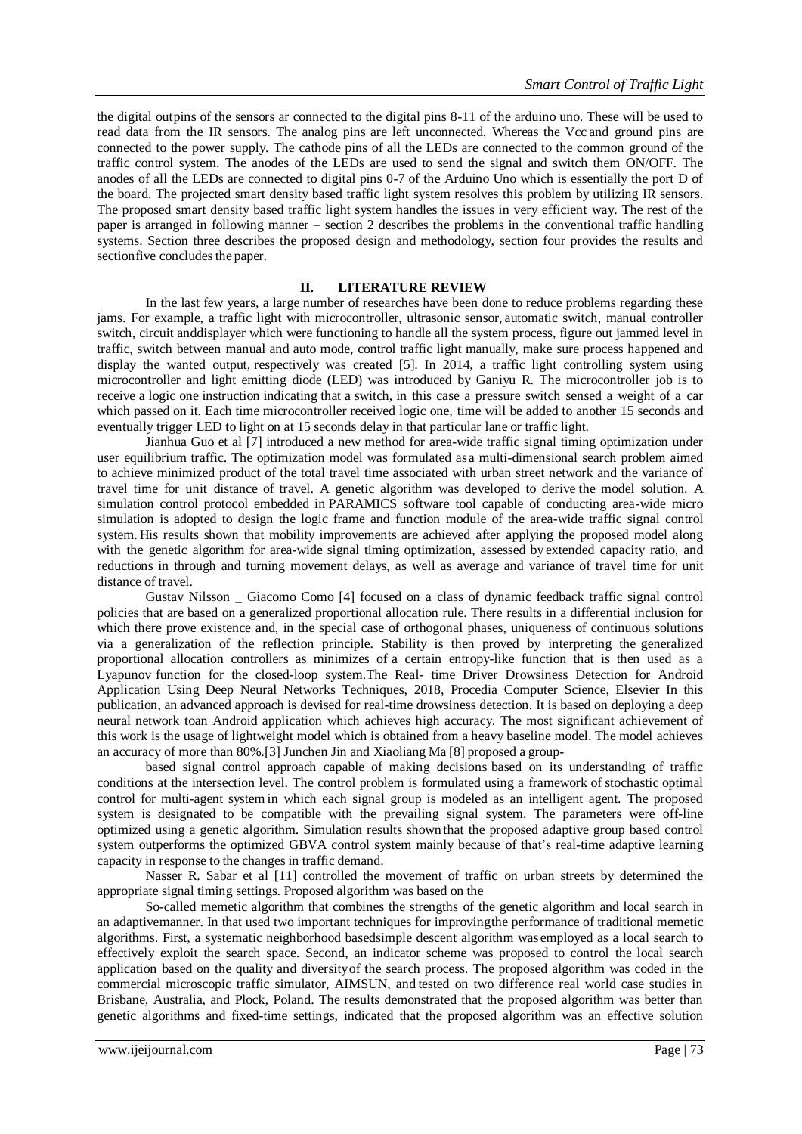the digital outpins of the sensors ar connected to the digital pins 8-11 of the arduino uno. These will be used to read data from the IR sensors. The analog pins are left unconnected. Whereas the Vcc and ground pins are connected to the power supply. The cathode pins of all the LEDs are connected to the common ground of the traffic control system. The anodes of the LEDs are used to send the signal and switch them ON/OFF. The anodes of all the LEDs are connected to digital pins 0-7 of the Arduino Uno which is essentially the port D of the board. The projected smart density based traffic light system resolves this problem by utilizing IR sensors. The proposed smart density based traffic light system handles the issues in very efficient way. The rest of the paper is arranged in following manner – section 2 describes the problems in the conventional traffic handling systems. Section three describes the proposed design and methodology, section four provides the results and sectionfive concludes the paper.

#### **II. LITERATURE REVIEW**

In the last few years, a large number of researches have been done to reduce problems regarding these jams. For example, a traffic light with microcontroller, ultrasonic sensor, automatic switch, manual controller switch, circuit anddisplayer which were functioning to handle all the system process, figure out jammed level in traffic, switch between manual and auto mode, control traffic light manually, make sure process happened and display the wanted output, respectively was created [5]. In 2014, a traffic light controlling system using microcontroller and light emitting diode (LED) was introduced by Ganiyu R. The microcontroller job is to receive a logic one instruction indicating that a switch, in this case a pressure switch sensed a weight of a car which passed on it. Each time microcontroller received logic one, time will be added to another 15 seconds and eventually trigger LED to light on at 15 seconds delay in that particular lane or traffic light.

Jianhua Guo et al [7] introduced a new method for area-wide traffic signal timing optimization under user equilibrium traffic. The optimization model was formulated asa multi-dimensional search problem aimed to achieve minimized product of the total travel time associated with urban street network and the variance of travel time for unit distance of travel. A genetic algorithm was developed to derive the model solution. A simulation control protocol embedded in PARAMICS software tool capable of conducting area-wide micro simulation is adopted to design the logic frame and function module of the area-wide traffic signal control system. His results shown that mobility improvements are achieved after applying the proposed model along with the genetic algorithm for area-wide signal timing optimization, assessed by extended capacity ratio, and reductions in through and turning movement delays, as well as average and variance of travel time for unit distance of travel.

Gustav Nilsson \_ Giacomo Como [4] focused on a class of dynamic feedback traffic signal control policies that are based on a generalized proportional allocation rule. There results in a differential inclusion for which there prove existence and, in the special case of orthogonal phases, uniqueness of continuous solutions via a generalization of the reflection principle. Stability is then proved by interpreting the generalized proportional allocation controllers as minimizes of a certain entropy-like function that is then used as a Lyapunov function for the closed-loop system.The Real- time Driver Drowsiness Detection for Android Application Using Deep Neural Networks Techniques, 2018, Procedia Computer Science, Elsevier In this publication, an advanced approach is devised for real-time drowsiness detection. It is based on deploying a deep neural network toan Android application which achieves high accuracy. The most significant achievement of this work is the usage of lightweight model which is obtained from a heavy baseline model. The model achieves an accuracy of more than 80%.[3] Junchen Jin and Xiaoliang Ma [8] proposed a group-

based signal control approach capable of making decisions based on its understanding of traffic conditions at the intersection level. The control problem is formulated using a framework of stochastic optimal control for multi-agent system in which each signal group is modeled as an intelligent agent. The proposed system is designated to be compatible with the prevailing signal system. The parameters were off-line optimized using a genetic algorithm. Simulation results shown that the proposed adaptive group based control system outperforms the optimized GBVA control system mainly because of that's real-time adaptive learning capacity in response to the changes in traffic demand.

Nasser R. Sabar et al [11] controlled the movement of traffic on urban streets by determined the appropriate signal timing settings. Proposed algorithm was based on the

So-called memetic algorithm that combines the strengths of the genetic algorithm and local search in an adaptivemanner. In that used two important techniques for improvingthe performance of traditional memetic algorithms. First, a systematic neighborhood basedsimple descent algorithm was employed as a local search to effectively exploit the search space. Second, an indicator scheme was proposed to control the local search application based on the quality and diversityof the search process. The proposed algorithm was coded in the commercial microscopic traffic simulator, AIMSUN, and tested on two difference real world case studies in Brisbane, Australia, and Plock, Poland. The results demonstrated that the proposed algorithm was better than genetic algorithms and fixed-time settings, indicated that the proposed algorithm was an effective solution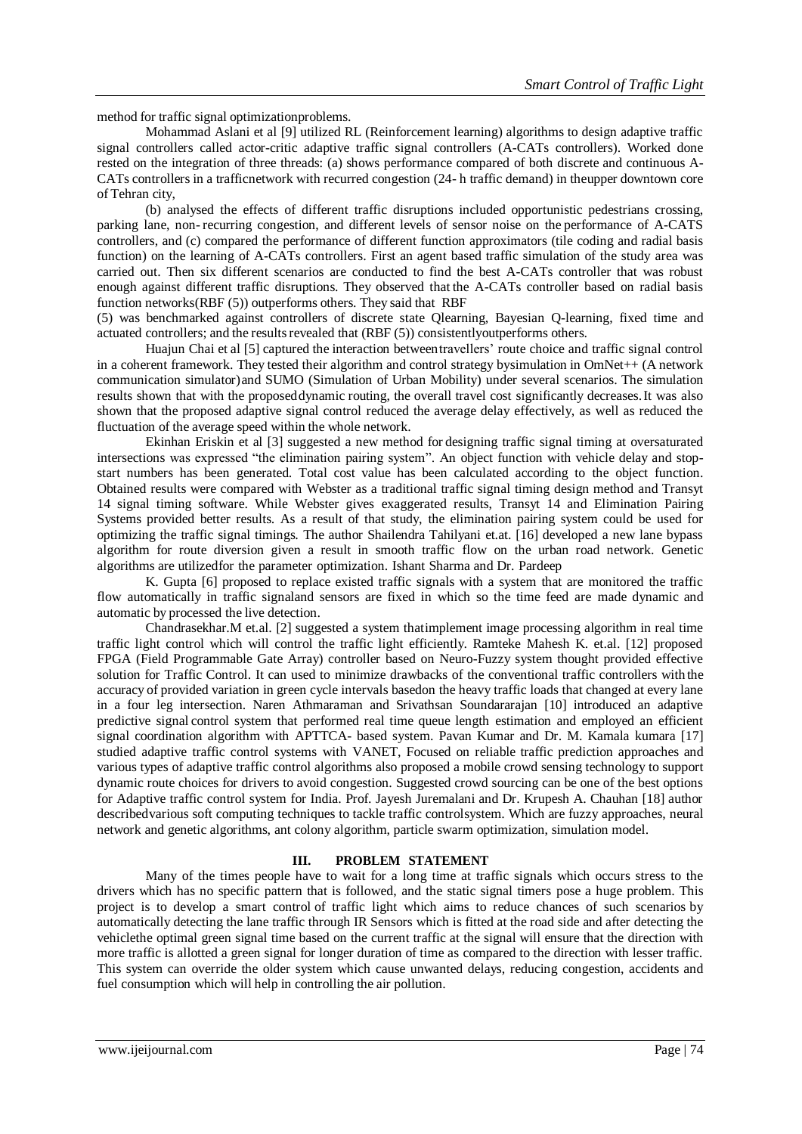method for traffic signal optimizationproblems.

Mohammad Aslani et al [9] utilized RL (Reinforcement learning) algorithms to design adaptive traffic signal controllers called actor-critic adaptive traffic signal controllers (A-CATs controllers). Worked done rested on the integration of three threads: (a) shows performance compared of both discrete and continuous A-CATs controllers in a trafficnetwork with recurred congestion (24- h traffic demand) in theupper downtown core of Tehran city,

(b) analysed the effects of different traffic disruptions included opportunistic pedestrians crossing, parking lane, non- recurring congestion, and different levels of sensor noise on the performance of A-CATS controllers, and (c) compared the performance of different function approximators (tile coding and radial basis function) on the learning of A-CATs controllers. First an agent based traffic simulation of the study area was carried out. Then six different scenarios are conducted to find the best A-CATs controller that was robust enough against different traffic disruptions. They observed that the A-CATs controller based on radial basis function networks(RBF (5)) outperforms others. They said that RBF

(5) was benchmarked against controllers of discrete state Qlearning, Bayesian Q-learning, fixed time and actuated controllers; and the results revealed that (RBF (5)) consistentlyoutperforms others.

Huajun Chai et al [5] captured the interaction betweentravellers' route choice and traffic signal control in a coherent framework. They tested their algorithm and control strategy bysimulation in OmNet++ (A network communication simulator)and SUMO (Simulation of Urban Mobility) under several scenarios. The simulation results shown that with the proposeddynamic routing, the overall travel cost significantly decreases.It was also shown that the proposed adaptive signal control reduced the average delay effectively, as well as reduced the fluctuation of the average speed within the whole network.

Ekinhan Eriskin et al [3] suggested a new method for designing traffic signal timing at oversaturated intersections was expressed "the elimination pairing system". An object function with vehicle delay and stopstart numbers has been generated. Total cost value has been calculated according to the object function. Obtained results were compared with Webster as a traditional traffic signal timing design method and Transyt 14 signal timing software. While Webster gives exaggerated results, Transyt 14 and Elimination Pairing Systems provided better results. As a result of that study, the elimination pairing system could be used for optimizing the traffic signal timings. The author Shailendra Tahilyani et.at. [16] developed a new lane bypass algorithm for route diversion given a result in smooth traffic flow on the urban road network. Genetic algorithms are utilizedfor the parameter optimization. Ishant Sharma and Dr. Pardeep

K. Gupta [6] proposed to replace existed traffic signals with a system that are monitored the traffic flow automatically in traffic signaland sensors are fixed in which so the time feed are made dynamic and automatic by processed the live detection.

Chandrasekhar.M et.al. [2] suggested a system thatimplement image processing algorithm in real time traffic light control which will control the traffic light efficiently. Ramteke Mahesh K. et.al. [12] proposed FPGA (Field Programmable Gate Array) controller based on Neuro-Fuzzy system thought provided effective solution for Traffic Control. It can used to minimize drawbacks of the conventional traffic controllers with the accuracy of provided variation in green cycle intervals basedon the heavy traffic loads that changed at every lane in a four leg intersection. Naren Athmaraman and Srivathsan Soundararajan [10] introduced an adaptive predictive signal control system that performed real time queue length estimation and employed an efficient signal coordination algorithm with APTTCA- based system. Pavan Kumar and Dr. M. Kamala kumara [17] studied adaptive traffic control systems with VANET, Focused on reliable traffic prediction approaches and various types of adaptive traffic control algorithms also proposed a mobile crowd sensing technology to support dynamic route choices for drivers to avoid congestion. Suggested crowd sourcing can be one of the best options for Adaptive traffic control system for India. Prof. Jayesh Juremalani and Dr. Krupesh A. Chauhan [18] author describedvarious soft computing techniques to tackle traffic controlsystem. Which are fuzzy approaches, neural network and genetic algorithms, ant colony algorithm, particle swarm optimization, simulation model.

#### **III. PROBLEM STATEMENT**

Many of the times people have to wait for a long time at traffic signals which occurs stress to the drivers which has no specific pattern that is followed, and the static signal timers pose a huge problem. This project is to develop a smart control of traffic light which aims to reduce chances of such scenarios by automatically detecting the lane traffic through IR Sensors which is fitted at the road side and after detecting the vehiclethe optimal green signal time based on the current traffic at the signal will ensure that the direction with more traffic is allotted a green signal for longer duration of time as compared to the direction with lesser traffic. This system can override the older system which cause unwanted delays, reducing congestion, accidents and fuel consumption which will help in controlling the air pollution.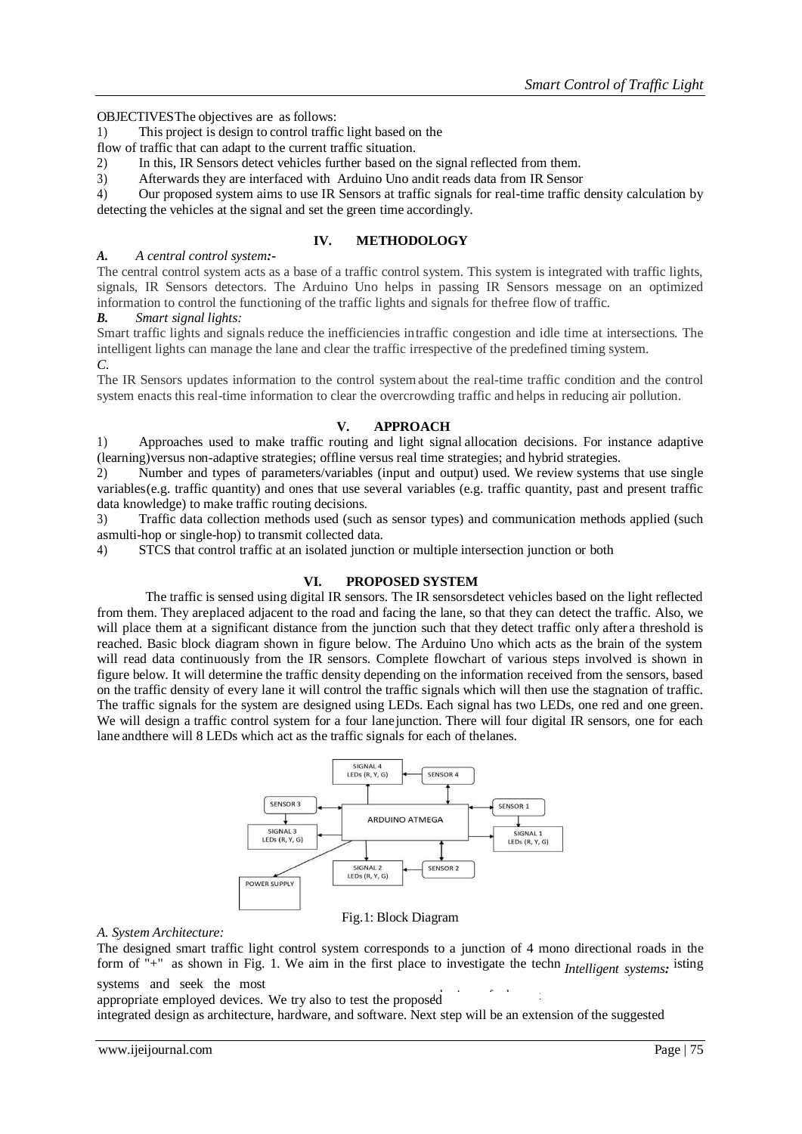OBJECTIVESThe objectives are as follows:

1) This project is design to control traffic light based on the

flow of traffic that can adapt to the current traffic situation.

- 2) In this, IR Sensors detect vehicles further based on the signal reflected from them.
- 3) Afterwards they are interfaced with Arduino Uno andit reads data from IR Sensor

4) Our proposed system aims to use IR Sensors at traffic signals for real-time traffic density calculation by detecting the vehicles at the signal and set the green time accordingly.

## **IV. METHODOLOGY**

## *A. A central control system:-*

The central control system acts as a base of a traffic control system. This system is integrated with traffic lights, signals, IR Sensors detectors. The Arduino Uno helps in passing IR Sensors message on an optimized information to control the functioning of the traffic lights and signals for thefree flow of traffic.

*B. Smart signal lights:*

Smart traffic lights and signals reduce the inefficiencies intraffic congestion and idle time at intersections. The intelligent lights can manage the lane and clear the traffic irrespective of the predefined timing system. *C.*

The IR Sensors updates information to the control systemabout the real-time traffic condition and the control system enacts this real-time information to clear the overcrowding traffic and helps in reducing air pollution.

# **V. APPROACH**

1) Approaches used to make traffic routing and light signal allocation decisions. For instance adaptive (learning)versus non-adaptive strategies; offline versus real time strategies; and hybrid strategies.

2) Number and types of parameters/variables (input and output) used. We review systems that use single variables(e.g. traffic quantity) and ones that use several variables (e.g. traffic quantity, past and present traffic data knowledge) to make traffic routing decisions.

3) Traffic data collection methods used (such as sensor types) and communication methods applied (such asmulti-hop or single-hop) to transmit collected data.

4) STCS that control traffic at an isolated junction or multiple intersection junction or both

## **VI. PROPOSED SYSTEM**

The traffic is sensed using digital IR sensors. The IR sensorsdetect vehicles based on the light reflected from them. They areplaced adjacent to the road and facing the lane, so that they can detect the traffic. Also, we will place them at a significant distance from the junction such that they detect traffic only after a threshold is reached. Basic block diagram shown in figure below. The Arduino Uno which acts as the brain of the system will read data continuously from the IR sensors. Complete flowchart of various steps involved is shown in figure below. It will determine the traffic density depending on the information received from the sensors, based on the traffic density of every lane it will control the traffic signals which will then use the stagnation of traffic. The traffic signals for the system are designed using LEDs. Each signal has two LEDs, one red and one green. We will design a traffic control system for a four lane junction. There will four digital IR sensors, one for each lane andthere will 8 LEDs which act as the traffic signals for each of thelanes.



#### Fig.1: Block Diagram

*A. System Architecture:*

The designed smart traffic light control system corresponds to a junction of 4 mono directional roads in the form of "+" as shown in Fig. 1. We aim in the first place to investigate the techn *Intelligent systems*; isting systems and seek the most

 $\mathbf{h}_{\mathbf{b}}$ appropriate employed devices. We try also to test the proposed

integrated design as architecture, hardware, and software. Next step will be an extension of the suggested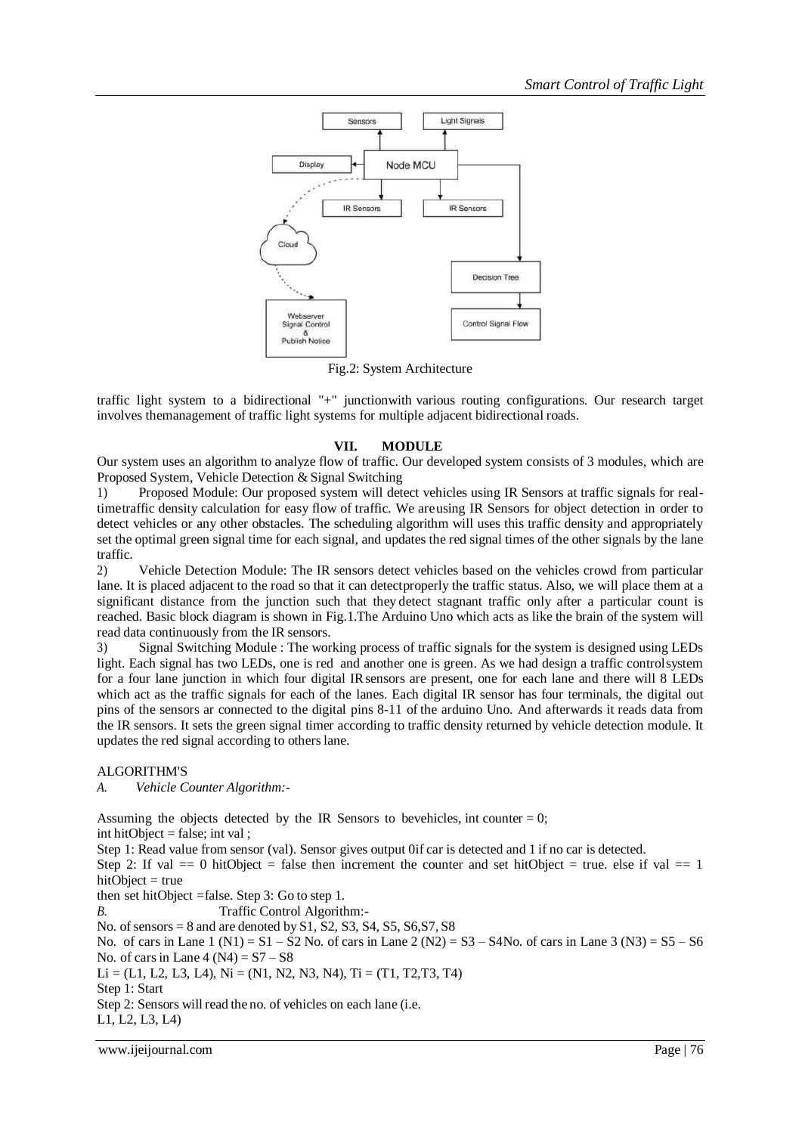

Fig.2: System Architecture

traffic light system to a bidirectional "+" junctionwith various routing configurations. Our research target involves themanagement of traffic light systems for multiple adjacent bidirectional roads.

## **VII. MODULE**

Our system uses an algorithm to analyze flow of traffic. Our developed system consists of 3 modules, which are Proposed System, Vehicle Detection & Signal Switching

1) Proposed Module: Our proposed system will detect vehicles using IR Sensors at traffic signals for realtimetraffic density calculation for easy flow of traffic. We areusing IR Sensors for object detection in order to detect vehicles or any other obstacles. The scheduling algorithm will uses this traffic density and appropriately set the optimal green signal time for each signal, and updates the red signal times of the other signals by the lane traffic.

2) Vehicle Detection Module: The IR sensors detect vehicles based on the vehicles crowd from particular lane. It is placed adjacent to the road so that it can detectproperly the traffic status. Also, we will place them at a significant distance from the junction such that they detect stagnant traffic only after a particular count is reached. Basic block diagram is shown in Fig.1.The Arduino Uno which acts as like the brain of the system will read data continuously from the IR sensors.

3) Signal Switching Module : The working process of traffic signals for the system is designed using LEDs light. Each signal has two LEDs, one is red and another one is green. As we had design a traffic controlsystem for a four lane junction in which four digital IRsensors are present, one for each lane and there will 8 LEDs which act as the traffic signals for each of the lanes. Each digital IR sensor has four terminals, the digital out pins of the sensors ar connected to the digital pins 8-11 of the arduino Uno. And afterwards it reads data from the IR sensors. It sets the green signal timer according to traffic density returned by vehicle detection module. It updates the red signal according to otherslane.

## ALGORITHM'S

*A. Vehicle Counter Algorithm:-*

Assuming the objects detected by the IR Sensors to bevehicles, int counter  $= 0$ ; int hitObject = false; int val ;

Step 1: Read value from sensor (val). Sensor gives output 0if car is detected and 1 if no car is detected. Step 2: If val  $= 0$  hitObject = false then increment the counter and set hitObject = true. else if val  $= 1$  $hitObject = true$ then set hitObject =false. Step 3: Go to step 1. *B.* Traffic Control Algorithm:- No. of sensors  $= 8$  and are denoted by S1, S2, S3, S4, S5, S6, S7, S8 No. of cars in Lane  $1 (N1) = S1 - S2$  No. of cars in Lane  $2 (N2) = S3 - S4$  No. of cars in Lane  $3 (N3) = S5 - S6$ No. of cars in Lane  $4 (N4) = S7 - S8$  $Li = (L1, L2, L3, L4), Ni = (N1, N2, N3, N4), Ti = (T1, T2, T3, T4)$ Step 1: Start Step 2: Sensors will read the no. of vehicles on each lane (i.e.

L1, L2, L3, L4)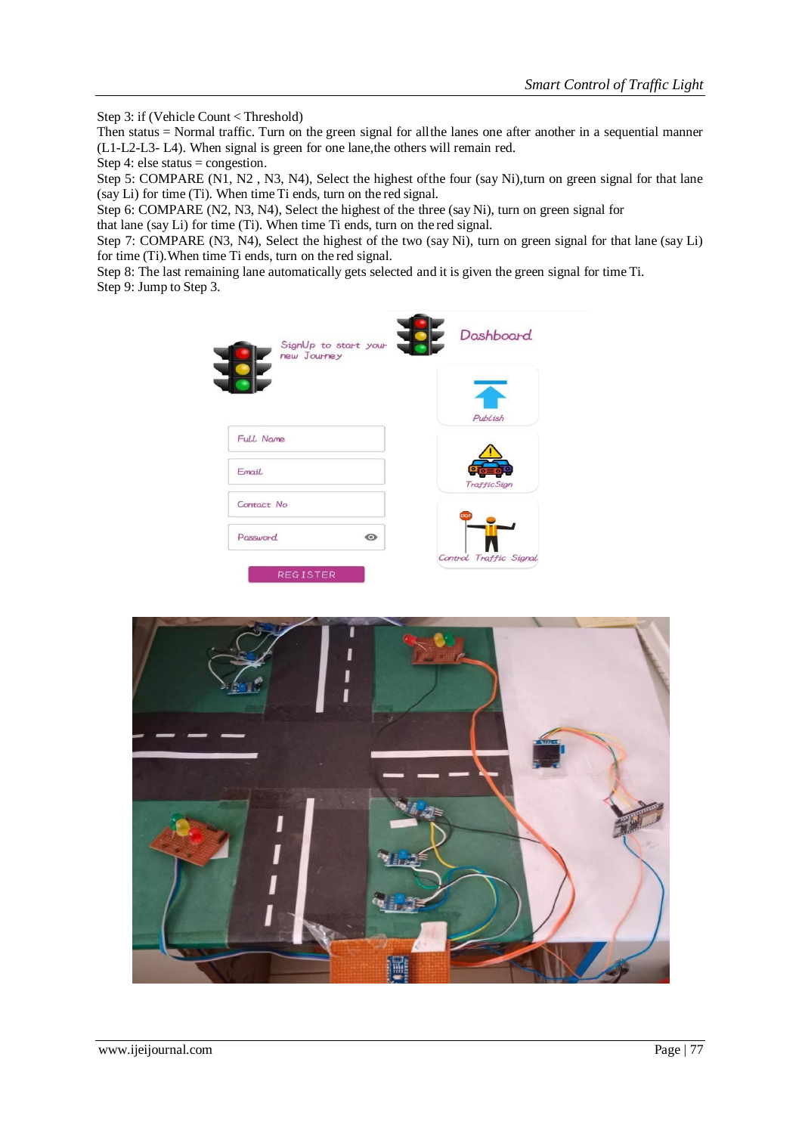Step 3: if (Vehicle Count < Threshold)

Then status = Normal traffic. Turn on the green signal for allthe lanes one after another in a sequential manner (L1-L2-L3- L4). When signal is green for one lane,the others will remain red.

Step 4: else status = congestion.

Step 5: COMPARE (N1, N2, N3, N4), Select the highest of the four (say Ni), turn on green signal for that lane (say Li) for time (Ti). When time Ti ends, turn on the red signal.

Step 6: COMPARE (N2, N3, N4), Select the highest of the three (say Ni), turn on green signal for

that lane (say Li) for time (Ti). When time Ti ends, turn on the red signal.

Step 7: COMPARE (N3, N4), Select the highest of the two (say Ni), turn on green signal for that lane (say Li) for time (Ti).When time Ti ends, turn on the red signal.

Step 8: The last remaining lane automatically gets selected and it is given the green signal for time Ti. Step 9: Jump to Step 3.